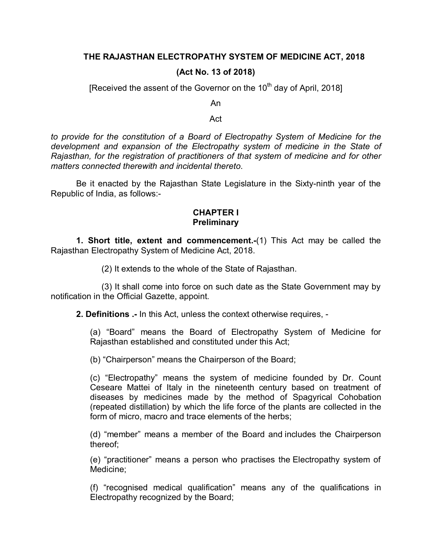## **THE RAJASTHAN ELECTROPATHY SYSTEM OF MEDICINE ACT, 2018**

## **(Act No. 13 of 2018)**

[Received the assent of the Governor on the 10<sup>th</sup> day of April, 2018]

An

Act

*to provide for the constitution of a Board of Electropathy System of Medicine for the development and expansion of the Electropathy system of medicine in the State of Rajasthan, for the registration of practitioners of that system of medicine and for other matters connected therewith and incidental thereto*.

Be it enacted by the Rajasthan State Legislature in the Sixty-ninth year of the Republic of India, as follows:-

## **CHAPTER I Preliminary**

**1. Short title, extent and commencement.-**(1) This Act may be called the Rajasthan Electropathy System of Medicine Act, 2018.

(2) It extends to the whole of the State of Rajasthan.

(3) It shall come into force on such date as the State Government may by notification in the Official Gazette, appoint.

**2. Definitions .-** In this Act, unless the context otherwise requires, -

(a) "Board" means the Board of Electropathy System of Medicine for Rajasthan established and constituted under this Act;

(b) "Chairperson" means the Chairperson of the Board;

(c) "Electropathy" means the system of medicine founded by Dr. Count Ceseare Mattei of Italy in the nineteenth century based on treatment of diseases by medicines made by the method of Spagyrical Cohobation (repeated distillation) by which the life force of the plants are collected in the form of micro, macro and trace elements of the herbs;

(d) "member" means a member of the Board and includes the Chairperson thereof;

(e) "practitioner" means a person who practises the Electropathy system of Medicine;

(f) "recognised medical qualification" means any of the qualifications in Electropathy recognized by the Board;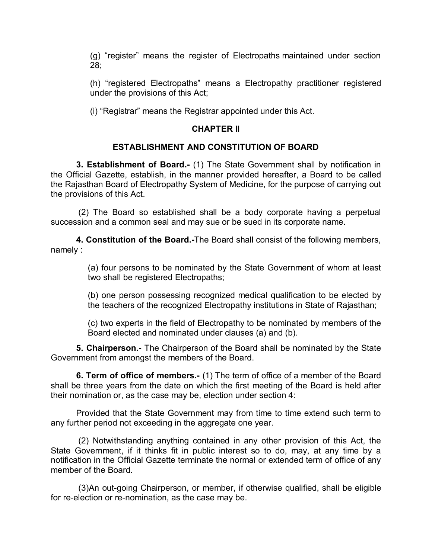(g) "register" means the register of Electropaths maintained under section 28;

(h) "registered Electropaths" means a Electropathy practitioner registered under the provisions of this Act;

(i) "Registrar" means the Registrar appointed under this Act.

# **CHAPTER II**

## **ESTABLISHMENT AND CONSTITUTION OF BOARD**

**3. Establishment of Board.-** (1) The State Government shall by notification in the Official Gazette, establish, in the manner provided hereafter, a Board to be called the Rajasthan Board of Electropathy System of Medicine, for the purpose of carrying out the provisions of this Act.

(2) The Board so established shall be a body corporate having a perpetual succession and a common seal and may sue or be sued in its corporate name.

**4. Constitution of the Board.-**The Board shall consist of the following members, namely :

> (a) four persons to be nominated by the State Government of whom at least two shall be registered Electropaths;

> (b) one person possessing recognized medical qualification to be elected by the teachers of the recognized Electropathy institutions in State of Rajasthan;

> (c) two experts in the field of Electropathy to be nominated by members of the Board elected and nominated under clauses (a) and (b).

**5. Chairperson.-** The Chairperson of the Board shall be nominated by the State Government from amongst the members of the Board.

**6. Term of office of members.-** (1) The term of office of a member of the Board shall be three years from the date on which the first meeting of the Board is held after their nomination or, as the case may be, election under section 4:

Provided that the State Government may from time to time extend such term to any further period not exceeding in the aggregate one year.

(2) Notwithstanding anything contained in any other provision of this Act, the State Government, if it thinks fit in public interest so to do, may, at any time by a notification in the Official Gazette terminate the normal or extended term of office of any member of the Board.

(3)An out-going Chairperson, or member, if otherwise qualified, shall be eligible for re-election or re-nomination, as the case may be.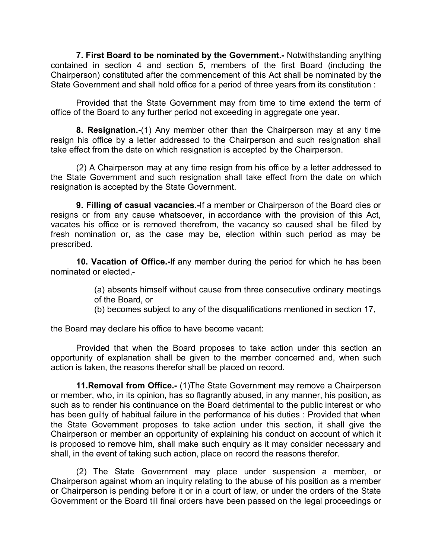**7. First Board to be nominated by the Government.-** Notwithstanding anything contained in section 4 and section 5, members of the first Board (including the Chairperson) constituted after the commencement of this Act shall be nominated by the State Government and shall hold office for a period of three years from its constitution :

Provided that the State Government may from time to time extend the term of office of the Board to any further period not exceeding in aggregate one year.

**8. Resignation.-**(1) Any member other than the Chairperson may at any time resign his office by a letter addressed to the Chairperson and such resignation shall take effect from the date on which resignation is accepted by the Chairperson.

(2) A Chairperson may at any time resign from his office by a letter addressed to the State Government and such resignation shall take effect from the date on which resignation is accepted by the State Government.

**9. Filling of casual vacancies.-**If a member or Chairperson of the Board dies or resigns or from any cause whatsoever, in accordance with the provision of this Act, vacates his office or is removed therefrom, the vacancy so caused shall be filled by fresh nomination or, as the case may be, election within such period as may be prescribed.

**10. Vacation of Office.-**If any member during the period for which he has been nominated or elected,-

> (a) absents himself without cause from three consecutive ordinary meetings of the Board, or

(b) becomes subject to any of the disqualifications mentioned in section 17,

the Board may declare his office to have become vacant:

Provided that when the Board proposes to take action under this section an opportunity of explanation shall be given to the member concerned and, when such action is taken, the reasons therefor shall be placed on record.

**11.Removal from Office.-** (1)The State Government may remove a Chairperson or member, who, in its opinion, has so flagrantly abused, in any manner, his position, as such as to render his continuance on the Board detrimental to the public interest or who has been guilty of habitual failure in the performance of his duties : Provided that when the State Government proposes to take action under this section, it shall give the Chairperson or member an opportunity of explaining his conduct on account of which it is proposed to remove him, shall make such enquiry as it may consider necessary and shall, in the event of taking such action, place on record the reasons therefor.

(2) The State Government may place under suspension a member, or Chairperson against whom an inquiry relating to the abuse of his position as a member or Chairperson is pending before it or in a court of law, or under the orders of the State Government or the Board till final orders have been passed on the legal proceedings or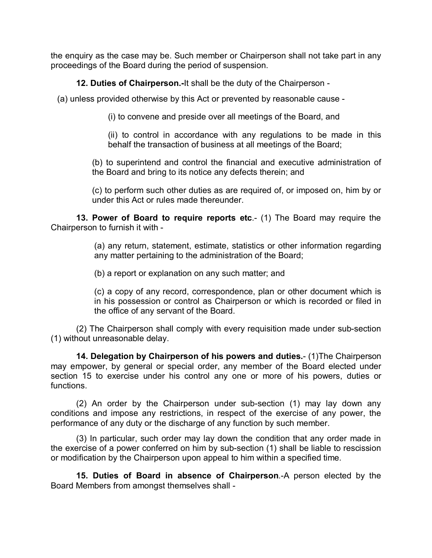the enquiry as the case may be. Such member or Chairperson shall not take part in any proceedings of the Board during the period of suspension.

**12. Duties of Chairperson.-**It shall be the duty of the Chairperson -

(a) unless provided otherwise by this Act or prevented by reasonable cause -

(i) to convene and preside over all meetings of the Board, and

(ii) to control in accordance with any regulations to be made in this behalf the transaction of business at all meetings of the Board;

(b) to superintend and control the financial and executive administration of the Board and bring to its notice any defects therein; and

(c) to perform such other duties as are required of, or imposed on, him by or under this Act or rules made thereunder.

**13. Power of Board to require reports etc.**- (1) The Board may require the Chairperson to furnish it with -

> (a) any return, statement, estimate, statistics or other information regarding any matter pertaining to the administration of the Board;

(b) a report or explanation on any such matter; and

(c) a copy of any record, correspondence, plan or other document which is in his possession or control as Chairperson or which is recorded or filed in the office of any servant of the Board.

(2) The Chairperson shall comply with every requisition made under sub-section (1) without unreasonable delay.

**14. Delegation by Chairperson of his powers and duties.**- (1)The Chairperson may empower, by general or special order, any member of the Board elected under section 15 to exercise under his control any one or more of his powers, duties or functions.

(2) An order by the Chairperson under sub-section (1) may lay down any conditions and impose any restrictions, in respect of the exercise of any power, the performance of any duty or the discharge of any function by such member.

(3) In particular, such order may lay down the condition that any order made in the exercise of a power conferred on him by sub-section (1) shall be liable to rescission or modification by the Chairperson upon appeal to him within a specified time.

**15. Duties of Board in absence of Chairperson**.-A person elected by the Board Members from amongst themselves shall -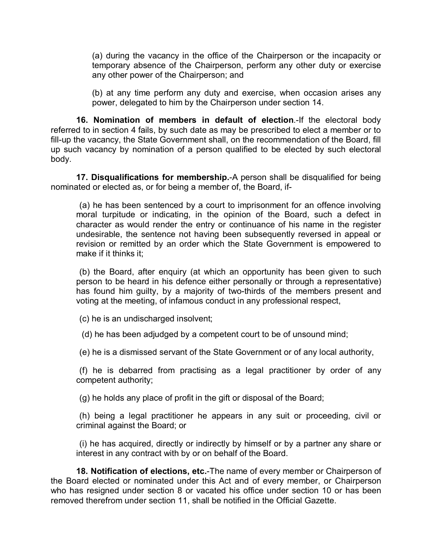(a) during the vacancy in the office of the Chairperson or the incapacity or temporary absence of the Chairperson, perform any other duty or exercise any other power of the Chairperson; and

(b) at any time perform any duty and exercise, when occasion arises any power, delegated to him by the Chairperson under section 14.

**16. Nomination of members in default of election**.-If the electoral body referred to in section 4 fails, by such date as may be prescribed to elect a member or to fill-up the vacancy, the State Government shall, on the recommendation of the Board, fill up such vacancy by nomination of a person qualified to be elected by such electoral body.

**17. Disqualifications for membership.**-A person shall be disqualified for being nominated or elected as, or for being a member of, the Board, if-

(a) he has been sentenced by a court to imprisonment for an offence involving moral turpitude or indicating, in the opinion of the Board, such a defect in character as would render the entry or continuance of his name in the register undesirable, the sentence not having been subsequently reversed in appeal or revision or remitted by an order which the State Government is empowered to make if it thinks it;

(b) the Board, after enquiry (at which an opportunity has been given to such person to be heard in his defence either personally or through a representative) has found him guilty, by a majority of two-thirds of the members present and voting at the meeting, of infamous conduct in any professional respect,

(c) he is an undischarged insolvent;

(d) he has been adjudged by a competent court to be of unsound mind;

(e) he is a dismissed servant of the State Government or of any local authority,

(f) he is debarred from practising as a legal practitioner by order of any competent authority;

(g) he holds any place of profit in the gift or disposal of the Board;

(h) being a legal practitioner he appears in any suit or proceeding, civil or criminal against the Board; or

(i) he has acquired, directly or indirectly by himself or by a partner any share or interest in any contract with by or on behalf of the Board.

**18. Notification of elections, etc.**-The name of every member or Chairperson of the Board elected or nominated under this Act and of every member, or Chairperson who has resigned under section 8 or vacated his office under section 10 or has been removed therefrom under section 11, shall be notified in the Official Gazette.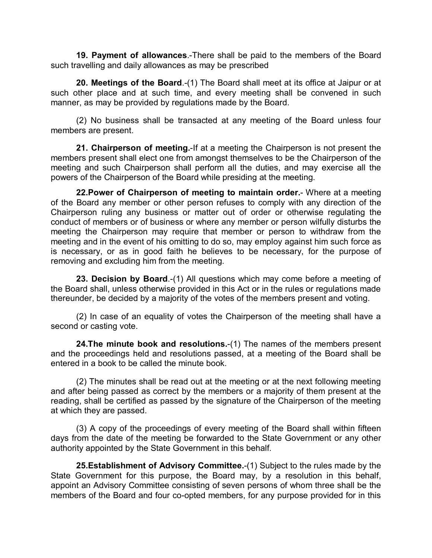**19. Payment of allowances**.-There shall be paid to the members of the Board such travelling and daily allowances as may be prescribed

**20. Meetings of the Board**.-(1) The Board shall meet at its office at Jaipur or at such other place and at such time, and every meeting shall be convened in such manner, as may be provided by regulations made by the Board.

(2) No business shall be transacted at any meeting of the Board unless four members are present.

**21. Chairperson of meeting.**-If at a meeting the Chairperson is not present the members present shall elect one from amongst themselves to be the Chairperson of the meeting and such Chairperson shall perform all the duties, and may exercise all the powers of the Chairperson of the Board while presiding at the meeting.

**22.Power of Chairperson of meeting to maintain order.**- Where at a meeting of the Board any member or other person refuses to comply with any direction of the Chairperson ruling any business or matter out of order or otherwise regulating the conduct of members or of business or where any member or person wilfully disturbs the meeting the Chairperson may require that member or person to withdraw from the meeting and in the event of his omitting to do so, may employ against him such force as is necessary, or as in good faith he believes to be necessary, for the purpose of removing and excluding him from the meeting.

**23. Decision by Board**.-(1) All questions which may come before a meeting of the Board shall, unless otherwise provided in this Act or in the rules or regulations made thereunder, be decided by a majority of the votes of the members present and voting.

(2) In case of an equality of votes the Chairperson of the meeting shall have a second or casting vote.

**24.The minute book and resolutions.**-(1) The names of the members present and the proceedings held and resolutions passed, at a meeting of the Board shall be entered in a book to be called the minute book.

(2) The minutes shall be read out at the meeting or at the next following meeting and after being passed as correct by the members or a majority of them present at the reading, shall be certified as passed by the signature of the Chairperson of the meeting at which they are passed.

(3) A copy of the proceedings of every meeting of the Board shall within fifteen days from the date of the meeting be forwarded to the State Government or any other authority appointed by the State Government in this behalf.

**25.Establishment of Advisory Committee.**-(1) Subject to the rules made by the State Government for this purpose, the Board may, by a resolution in this behalf, appoint an Advisory Committee consisting of seven persons of whom three shall be the members of the Board and four co-opted members, for any purpose provided for in this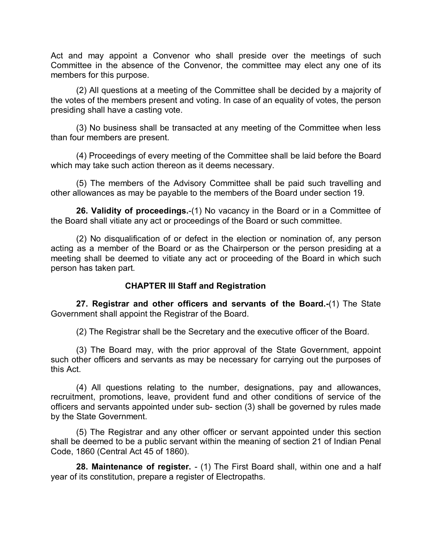Act and may appoint a Convenor who shall preside over the meetings of such Committee in the absence of the Convenor, the committee may elect any one of its members for this purpose.

(2) All questions at a meeting of the Committee shall be decided by a majority of the votes of the members present and voting. In case of an equality of votes, the person presiding shall have a casting vote.

(3) No business shall be transacted at any meeting of the Committee when less than four members are present.

(4) Proceedings of every meeting of the Committee shall be laid before the Board which may take such action thereon as it deems necessary.

(5) The members of the Advisory Committee shall be paid such travelling and other allowances as may be payable to the members of the Board under section 19.

**26. Validity of proceedings.**-(1) No vacancy in the Board or in a Committee of the Board shall vitiate any act or proceedings of the Board or such committee.

(2) No disqualification of or defect in the election or nomination of, any person acting as a member of the Board or as the Chairperson or the person presiding at a meeting shall be deemed to vitiate any act or proceeding of the Board in which such person has taken part.

## **CHAPTER III Staff and Registration**

**27. Registrar and other officers and servants of the Board.-**(1) The State Government shall appoint the Registrar of the Board.

(2) The Registrar shall be the Secretary and the executive officer of the Board.

(3) The Board may, with the prior approval of the State Government, appoint such other officers and servants as may be necessary for carrying out the purposes of this Act.

(4) All questions relating to the number, designations, pay and allowances, recruitment, promotions, leave, provident fund and other conditions of service of the officers and servants appointed under sub- section (3) shall be governed by rules made by the State Government.

(5) The Registrar and any other officer or servant appointed under this section shall be deemed to be a public servant within the meaning of section 21 of Indian Penal Code, 1860 (Central Act 45 of 1860).

**28. Maintenance of register.** - (1) The First Board shall, within one and a half year of its constitution, prepare a register of Electropaths.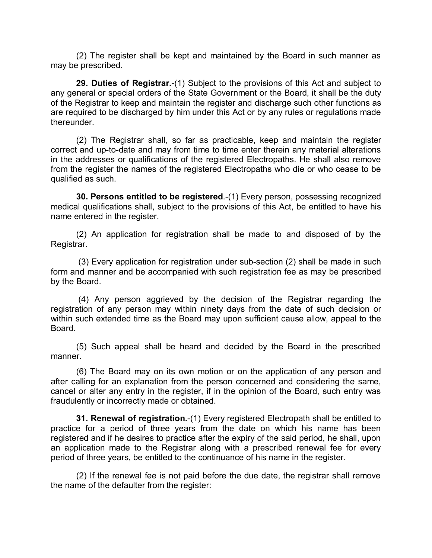(2) The register shall be kept and maintained by the Board in such manner as may be prescribed.

**29. Duties of Registrar.**-(1) Subject to the provisions of this Act and subject to any general or special orders of the State Government or the Board, it shall be the duty of the Registrar to keep and maintain the register and discharge such other functions as are required to be discharged by him under this Act or by any rules or regulations made thereunder.

(2) The Registrar shall, so far as practicable, keep and maintain the register correct and up-to-date and may from time to time enter therein any material alterations in the addresses or qualifications of the registered Electropaths. He shall also remove from the register the names of the registered Electropaths who die or who cease to be qualified as such.

**30. Persons entitled to be registered**.-(1) Every person, possessing recognized medical qualifications shall, subject to the provisions of this Act, be entitled to have his name entered in the register.

(2) An application for registration shall be made to and disposed of by the Registrar.

(3) Every application for registration under sub-section (2) shall be made in such form and manner and be accompanied with such registration fee as may be prescribed by the Board.

(4) Any person aggrieved by the decision of the Registrar regarding the registration of any person may within ninety days from the date of such decision or within such extended time as the Board may upon sufficient cause allow, appeal to the Board.

(5) Such appeal shall be heard and decided by the Board in the prescribed manner.

(6) The Board may on its own motion or on the application of any person and after calling for an explanation from the person concerned and considering the same, cancel or alter any entry in the register, if in the opinion of the Board, such entry was fraudulently or incorrectly made or obtained.

**31. Renewal of registration.**-(1) Every registered Electropath shall be entitled to practice for a period of three years from the date on which his name has been registered and if he desires to practice after the expiry of the said period, he shall, upon an application made to the Registrar along with a prescribed renewal fee for every period of three years, be entitled to the continuance of his name in the register.

(2) If the renewal fee is not paid before the due date, the registrar shall remove the name of the defaulter from the register: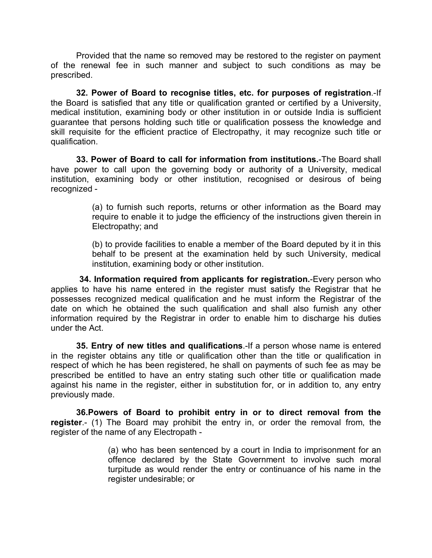Provided that the name so removed may be restored to the register on payment of the renewal fee in such manner and subject to such conditions as may be prescribed.

**32. Power of Board to recognise titles, etc. for purposes of registration**.-If the Board is satisfied that any title or qualification granted or certified by a University, medical institution, examining body or other institution in or outside India is sufficient guarantee that persons holding such title or qualification possess the knowledge and skill requisite for the efficient practice of Electropathy, it may recognize such title or qualification.

**33. Power of Board to call for information from institutions.**-The Board shall have power to call upon the governing body or authority of a University, medical institution, examining body or other institution, recognised or desirous of being recognized -

> (a) to furnish such reports, returns or other information as the Board may require to enable it to judge the efficiency of the instructions given therein in Electropathy; and

> (b) to provide facilities to enable a member of the Board deputed by it in this behalf to be present at the examination held by such University, medical institution, examining body or other institution.

**34. Information required from applicants for registration.**-Every person who applies to have his name entered in the register must satisfy the Registrar that he possesses recognized medical qualification and he must inform the Registrar of the date on which he obtained the such qualification and shall also furnish any other information required by the Registrar in order to enable him to discharge his duties under the Act.

**35. Entry of new titles and qualifications**.-If a person whose name is entered in the register obtains any title or qualification other than the title or qualification in respect of which he has been registered, he shall on payments of such fee as may be prescribed be entitled to have an entry stating such other title or qualification made against his name in the register, either in substitution for, or in addition to, any entry previously made.

**36.Powers of Board to prohibit entry in or to direct removal from the register**.- (1) The Board may prohibit the entry in, or order the removal from, the register of the name of any Electropath -

> (a) who has been sentenced by a court in India to imprisonment for an offence declared by the State Government to involve such moral turpitude as would render the entry or continuance of his name in the register undesirable; or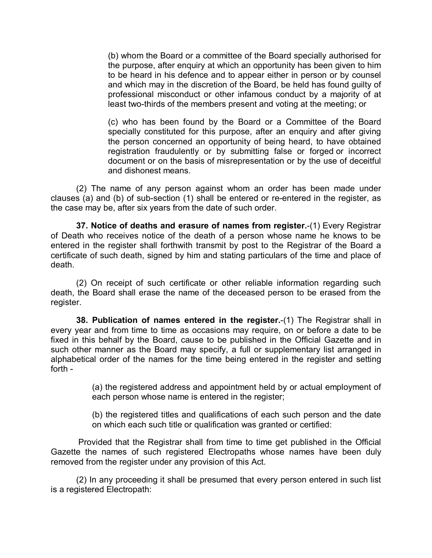(b) whom the Board or a committee of the Board specially authorised for the purpose, after enquiry at which an opportunity has been given to him to be heard in his defence and to appear either in person or by counsel and which may in the discretion of the Board, be held has found guilty of professional misconduct or other infamous conduct by a majority of at least two-thirds of the members present and voting at the meeting; or

(c) who has been found by the Board or a Committee of the Board specially constituted for this purpose, after an enquiry and after giving the person concerned an opportunity of being heard, to have obtained registration fraudulently or by submitting false or forged or incorrect document or on the basis of misrepresentation or by the use of deceitful and dishonest means.

(2) The name of any person against whom an order has been made under clauses (a) and (b) of sub-section (1) shall be entered or re-entered in the register, as the case may be, after six years from the date of such order.

**37. Notice of deaths and erasure of names from register.**-(1) Every Registrar of Death who receives notice of the death of a person whose name he knows to be entered in the register shall forthwith transmit by post to the Registrar of the Board a certificate of such death, signed by him and stating particulars of the time and place of death.

(2) On receipt of such certificate or other reliable information regarding such death, the Board shall erase the name of the deceased person to be erased from the register.

**38. Publication of names entered in the register.**-(1) The Registrar shall in every year and from time to time as occasions may require, on or before a date to be fixed in this behalf by the Board, cause to be published in the Official Gazette and in such other manner as the Board may specify, a full or supplementary list arranged in alphabetical order of the names for the time being entered in the register and setting forth -

> (a) the registered address and appointment held by or actual employment of each person whose name is entered in the register;

> (b) the registered titles and qualifications of each such person and the date on which each such title or qualification was granted or certified:

Provided that the Registrar shall from time to time get published in the Official Gazette the names of such registered Electropaths whose names have been duly removed from the register under any provision of this Act.

(2) In any proceeding it shall be presumed that every person entered in such list is a registered Electropath: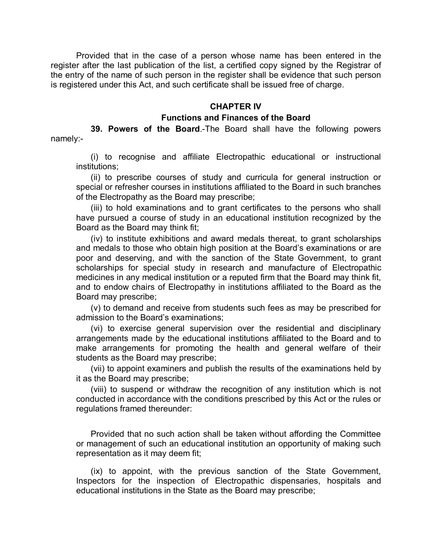Provided that in the case of a person whose name has been entered in the register after the last publication of the list, a certified copy signed by the Registrar of the entry of the name of such person in the register shall be evidence that such person is registered under this Act, and such certificate shall be issued free of charge.

### **CHAPTER IV**

### **Functions and Finances of the Board**

**39. Powers of the Board**.-The Board shall have the following powers

namely:-

(i) to recognise and affiliate Electropathic educational or instructional institutions;

(ii) to prescribe courses of study and curricula for general instruction or special or refresher courses in institutions affiliated to the Board in such branches of the Electropathy as the Board may prescribe;

(iii) to hold examinations and to grant certificates to the persons who shall have pursued a course of study in an educational institution recognized by the Board as the Board may think fit;

(iv) to institute exhibitions and award medals thereat, to grant scholarships and medals to those who obtain high position at the Board's examinations or are poor and deserving, and with the sanction of the State Government, to grant scholarships for special study in research and manufacture of Electropathic medicines in any medical institution or a reputed firm that the Board may think fit, and to endow chairs of Electropathy in institutions affiliated to the Board as the Board may prescribe;

(v) to demand and receive from students such fees as may be prescribed for admission to the Board's examinations;

(vi) to exercise general supervision over the residential and disciplinary arrangements made by the educational institutions affiliated to the Board and to make arrangements for promoting the health and general welfare of their students as the Board may prescribe;

(vii) to appoint examiners and publish the results of the examinations held by it as the Board may prescribe;

(viii) to suspend or withdraw the recognition of any institution which is not conducted in accordance with the conditions prescribed by this Act or the rules or regulations framed thereunder:

Provided that no such action shall be taken without affording the Committee or management of such an educational institution an opportunity of making such representation as it may deem fit;

(ix) to appoint, with the previous sanction of the State Government, Inspectors for the inspection of Electropathic dispensaries, hospitals and educational institutions in the State as the Board may prescribe;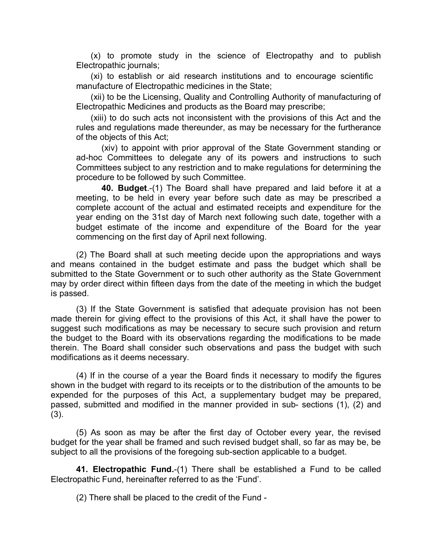(x) to promote study in the science of Electropathy and to publish Electropathic journals;

(xi) to establish or aid research institutions and to encourage scientific manufacture of Electropathic medicines in the State;

(xii) to be the Licensing, Quality and Controlling Authority of manufacturing of Electropathic Medicines and products as the Board may prescribe;

(xiii) to do such acts not inconsistent with the provisions of this Act and the rules and regulations made thereunder, as may be necessary for the furtherance of the objects of this Act;

(xiv) to appoint with prior approval of the State Government standing or ad-hoc Committees to delegate any of its powers and instructions to such Committees subject to any restriction and to make regulations for determining the procedure to be followed by such Committee.

**40. Budget**.-(1) The Board shall have prepared and laid before it at a meeting, to be held in every year before such date as may be prescribed a complete account of the actual and estimated receipts and expenditure for the year ending on the 31st day of March next following such date, together with a budget estimate of the income and expenditure of the Board for the year commencing on the first day of April next following.

(2) The Board shall at such meeting decide upon the appropriations and ways and means contained in the budget estimate and pass the budget which shall be submitted to the State Government or to such other authority as the State Government may by order direct within fifteen days from the date of the meeting in which the budget is passed.

(3) If the State Government is satisfied that adequate provision has not been made therein for giving effect to the provisions of this Act, it shall have the power to suggest such modifications as may be necessary to secure such provision and return the budget to the Board with its observations regarding the modifications to be made therein. The Board shall consider such observations and pass the budget with such modifications as it deems necessary.

(4) If in the course of a year the Board finds it necessary to modify the figures shown in the budget with regard to its receipts or to the distribution of the amounts to be expended for the purposes of this Act, a supplementary budget may be prepared, passed, submitted and modified in the manner provided in sub- sections (1), (2) and (3).

(5) As soon as may be after the first day of October every year, the revised budget for the year shall be framed and such revised budget shall, so far as may be, be subject to all the provisions of the foregoing sub-section applicable to a budget.

**41. Electropathic Fund.**-(1) There shall be established a Fund to be called Electropathic Fund, hereinafter referred to as the 'Fund'.

(2) There shall be placed to the credit of the Fund -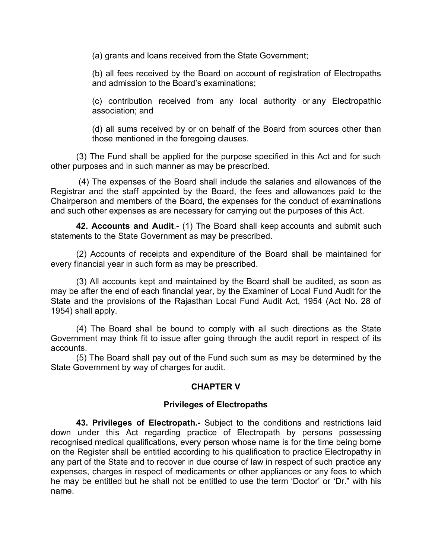(a) grants and loans received from the State Government;

(b) all fees received by the Board on account of registration of Electropaths and admission to the Board's examinations;

(c) contribution received from any local authority or any Electropathic association; and

(d) all sums received by or on behalf of the Board from sources other than those mentioned in the foregoing clauses.

(3) The Fund shall be applied for the purpose specified in this Act and for such other purposes and in such manner as may be prescribed.

(4) The expenses of the Board shall include the salaries and allowances of the Registrar and the staff appointed by the Board, the fees and allowances paid to the Chairperson and members of the Board, the expenses for the conduct of examinations and such other expenses as are necessary for carrying out the purposes of this Act.

**42. Accounts and Audit**.- (1) The Board shall keep accounts and submit such statements to the State Government as may be prescribed.

(2) Accounts of receipts and expenditure of the Board shall be maintained for every financial year in such form as may be prescribed.

(3) All accounts kept and maintained by the Board shall be audited, as soon as may be after the end of each financial year, by the Examiner of Local Fund Audit for the State and the provisions of the Rajasthan Local Fund Audit Act, 1954 (Act No. 28 of 1954) shall apply.

(4) The Board shall be bound to comply with all such directions as the State Government may think fit to issue after going through the audit report in respect of its accounts.

(5) The Board shall pay out of the Fund such sum as may be determined by the State Government by way of charges for audit.

# **CHAPTER V**

## **Privileges of Electropaths**

**43. Privileges of Electropath.-** Subject to the conditions and restrictions laid down under this Act regarding practice of Electropath by persons possessing recognised medical qualifications, every person whose name is for the time being borne on the Register shall be entitled according to his qualification to practice Electropathy in any part of the State and to recover in due course of law in respect of such practice any expenses, charges in respect of medicaments or other appliances or any fees to which he may be entitled but he shall not be entitled to use the term 'Doctor' or 'Dr." with his name.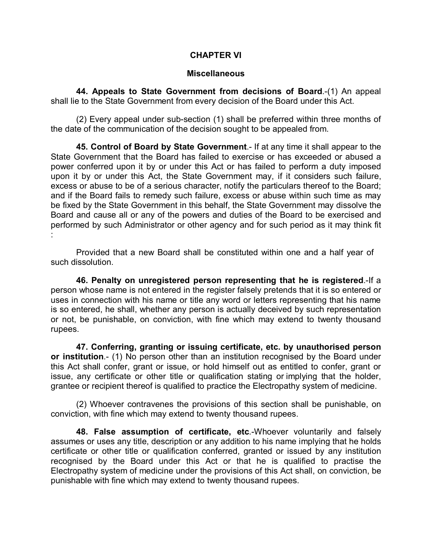## **CHAPTER VI**

### **Miscellaneous**

**44. Appeals to State Government from decisions of Board**.-(1) An appeal shall lie to the State Government from every decision of the Board under this Act.

(2) Every appeal under sub-section (1) shall be preferred within three months of the date of the communication of the decision sought to be appealed from.

**45. Control of Board by State Government**.- If at any time it shall appear to the State Government that the Board has failed to exercise or has exceeded or abused a power conferred upon it by or under this Act or has failed to perform a duty imposed upon it by or under this Act, the State Government may, if it considers such failure, excess or abuse to be of a serious character, notify the particulars thereof to the Board; and if the Board fails to remedy such failure, excess or abuse within such time as may be fixed by the State Government in this behalf, the State Government may dissolve the Board and cause all or any of the powers and duties of the Board to be exercised and performed by such Administrator or other agency and for such period as it may think fit :

Provided that a new Board shall be constituted within one and a half year of such dissolution.

**46. Penalty on unregistered person representing that he is registered**.-If a person whose name is not entered in the register falsely pretends that it is so entered or uses in connection with his name or title any word or letters representing that his name is so entered, he shall, whether any person is actually deceived by such representation or not, be punishable, on conviction, with fine which may extend to twenty thousand rupees.

**47. Conferring, granting or issuing certificate, etc. by unauthorised person or institution**.- (1) No person other than an institution recognised by the Board under this Act shall confer, grant or issue, or hold himself out as entitled to confer, grant or issue, any certificate or other title or qualification stating or implying that the holder, grantee or recipient thereof is qualified to practice the Electropathy system of medicine.

(2) Whoever contravenes the provisions of this section shall be punishable, on conviction, with fine which may extend to twenty thousand rupees.

**48. False assumption of certificate, etc**.-Whoever voluntarily and falsely assumes or uses any title, description or any addition to his name implying that he holds certificate or other title or qualification conferred, granted or issued by any institution recognised by the Board under this Act or that he is qualified to practise the Electropathy system of medicine under the provisions of this Act shall, on conviction, be punishable with fine which may extend to twenty thousand rupees.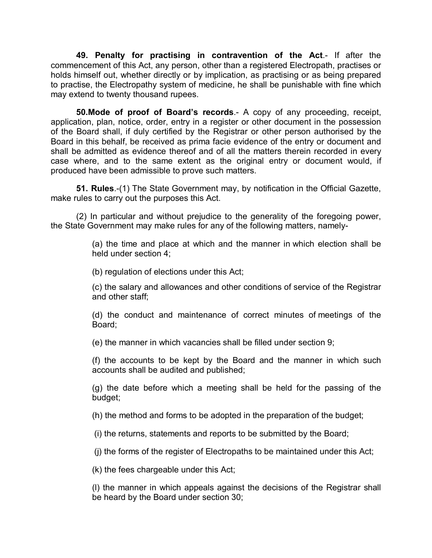**49. Penalty for practising in contravention of the Act**.- If after the commencement of this Act, any person, other than a registered Electropath, practises or holds himself out, whether directly or by implication, as practising or as being prepared to practise, the Electropathy system of medicine, he shall be punishable with fine which may extend to twenty thousand rupees.

**50.Mode of proof of Board's records**.- A copy of any proceeding, receipt, application, plan, notice, order, entry in a register or other document in the possession of the Board shall, if duly certified by the Registrar or other person authorised by the Board in this behalf, be received as prima facie evidence of the entry or document and shall be admitted as evidence thereof and of all the matters therein recorded in every case where, and to the same extent as the original entry or document would, if produced have been admissible to prove such matters.

**51. Rules**.-(1) The State Government may, by notification in the Official Gazette, make rules to carry out the purposes this Act.

(2) In particular and without prejudice to the generality of the foregoing power, the State Government may make rules for any of the following matters, namely-

> (a) the time and place at which and the manner in which election shall be held under section 4;

(b) regulation of elections under this Act;

(c) the salary and allowances and other conditions of service of the Registrar and other staff;

(d) the conduct and maintenance of correct minutes of meetings of the Board;

(e) the manner in which vacancies shall be filled under section 9;

(f) the accounts to be kept by the Board and the manner in which such accounts shall be audited and published;

(g) the date before which a meeting shall be held for the passing of the budget;

(h) the method and forms to be adopted in the preparation of the budget;

(i) the returns, statements and reports to be submitted by the Board;

(j) the forms of the register of Electropaths to be maintained under this Act;

(k) the fees chargeable under this Act;

(l) the manner in which appeals against the decisions of the Registrar shall be heard by the Board under section 30;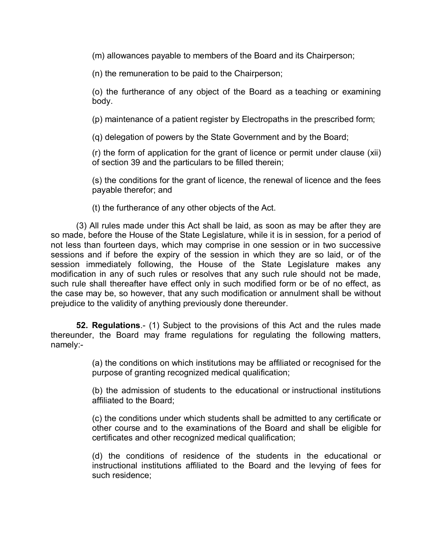(m) allowances payable to members of the Board and its Chairperson;

(n) the remuneration to be paid to the Chairperson;

(o) the furtherance of any object of the Board as a teaching or examining body.

(p) maintenance of a patient register by Electropaths in the prescribed form;

(q) delegation of powers by the State Government and by the Board;

(r) the form of application for the grant of licence or permit under clause (xii) of section 39 and the particulars to be filled therein;

(s) the conditions for the grant of licence, the renewal of licence and the fees payable therefor; and

(t) the furtherance of any other objects of the Act.

(3) All rules made under this Act shall be laid, as soon as may be after they are so made, before the House of the State Legislature, while it is in session, for a period of not less than fourteen days, which may comprise in one session or in two successive sessions and if before the expiry of the session in which they are so laid, or of the session immediately following, the House of the State Legislature makes any modification in any of such rules or resolves that any such rule should not be made, such rule shall thereafter have effect only in such modified form or be of no effect, as the case may be, so however, that any such modification or annulment shall be without prejudice to the validity of anything previously done thereunder.

**52. Regulations**.- (1) Subject to the provisions of this Act and the rules made thereunder, the Board may frame regulations for regulating the following matters, namely:-

> (a) the conditions on which institutions may be affiliated or recognised for the purpose of granting recognized medical qualification;

> (b) the admission of students to the educational or instructional institutions affiliated to the Board;

> (c) the conditions under which students shall be admitted to any certificate or other course and to the examinations of the Board and shall be eligible for certificates and other recognized medical qualification;

> (d) the conditions of residence of the students in the educational or instructional institutions affiliated to the Board and the levying of fees for such residence;